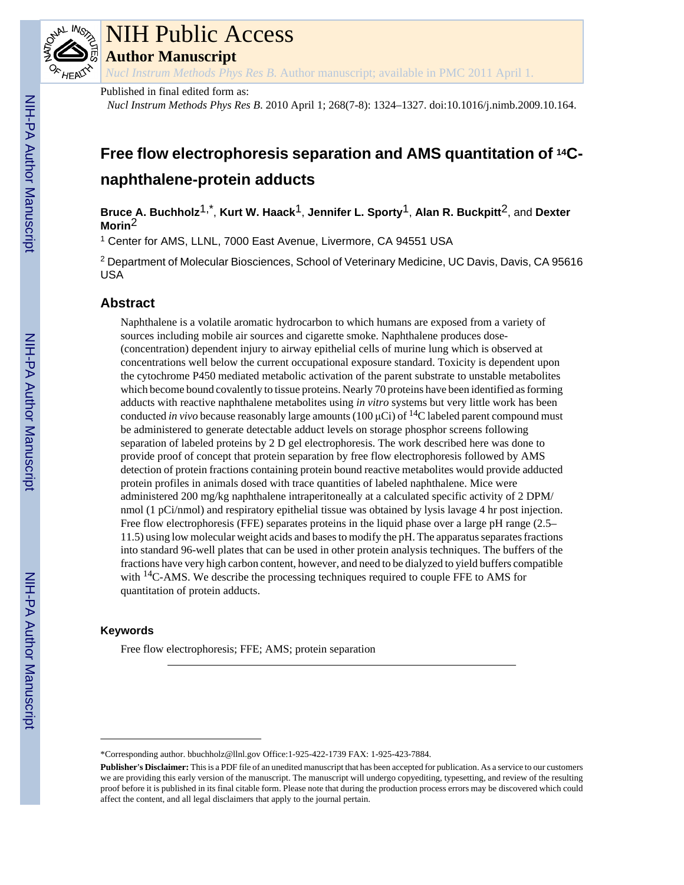

# NIH Public Access

**Author Manuscript**

*Nucl Instrum Methods Phys Res B*. Author manuscript; available in PMC 2011 April 1.

Published in final edited form as:

*Nucl Instrum Methods Phys Res B*. 2010 April 1; 268(7-8): 1324–1327. doi:10.1016/j.nimb.2009.10.164.

# **Free flow electrophoresis separation and AMS quantitation of 14Cnaphthalene-protein adducts**

**Bruce A. Buchholz**1,\* , **Kurt W. Haack**1, **Jennifer L. Sporty**1, **Alan R. Buckpitt**2, and **Dexter Morin**2

1 Center for AMS, LLNL, 7000 East Avenue, Livermore, CA 94551 USA

<sup>2</sup> Department of Molecular Biosciences, School of Veterinary Medicine, UC Davis, Davis, CA 95616 USA

# **Abstract**

Naphthalene is a volatile aromatic hydrocarbon to which humans are exposed from a variety of sources including mobile air sources and cigarette smoke. Naphthalene produces dose- (concentration) dependent injury to airway epithelial cells of murine lung which is observed at concentrations well below the current occupational exposure standard. Toxicity is dependent upon the cytochrome P450 mediated metabolic activation of the parent substrate to unstable metabolites which become bound covalently to tissue proteins. Nearly 70 proteins have been identified as forming adducts with reactive naphthalene metabolites using *in vitro* systems but very little work has been conducted *in vivo* because reasonably large amounts (100  $\mu$ Ci) of <sup>14</sup>C labeled parent compound must be administered to generate detectable adduct levels on storage phosphor screens following separation of labeled proteins by 2 D gel electrophoresis. The work described here was done to provide proof of concept that protein separation by free flow electrophoresis followed by AMS detection of protein fractions containing protein bound reactive metabolites would provide adducted protein profiles in animals dosed with trace quantities of labeled naphthalene. Mice were administered 200 mg/kg naphthalene intraperitoneally at a calculated specific activity of 2 DPM/ nmol (1 pCi/nmol) and respiratory epithelial tissue was obtained by lysis lavage 4 hr post injection. Free flow electrophoresis (FFE) separates proteins in the liquid phase over a large pH range (2.5– 11.5) using low molecular weight acids and bases to modify the pH. The apparatus separates fractions into standard 96-well plates that can be used in other protein analysis techniques. The buffers of the fractions have very high carbon content, however, and need to be dialyzed to yield buffers compatible with <sup>14</sup>C-AMS. We describe the processing techniques required to couple FFE to AMS for quantitation of protein adducts.

# **Keywords**

Free flow electrophoresis; FFE; AMS; protein separation

<sup>\*</sup>Corresponding author. bbuchholz@llnl.gov Office:1-925-422-1739 FAX: 1-925-423-7884.

**Publisher's Disclaimer:** This is a PDF file of an unedited manuscript that has been accepted for publication. As a service to our customers we are providing this early version of the manuscript. The manuscript will undergo copyediting, typesetting, and review of the resulting proof before it is published in its final citable form. Please note that during the production process errors may be discovered which could affect the content, and all legal disclaimers that apply to the journal pertain.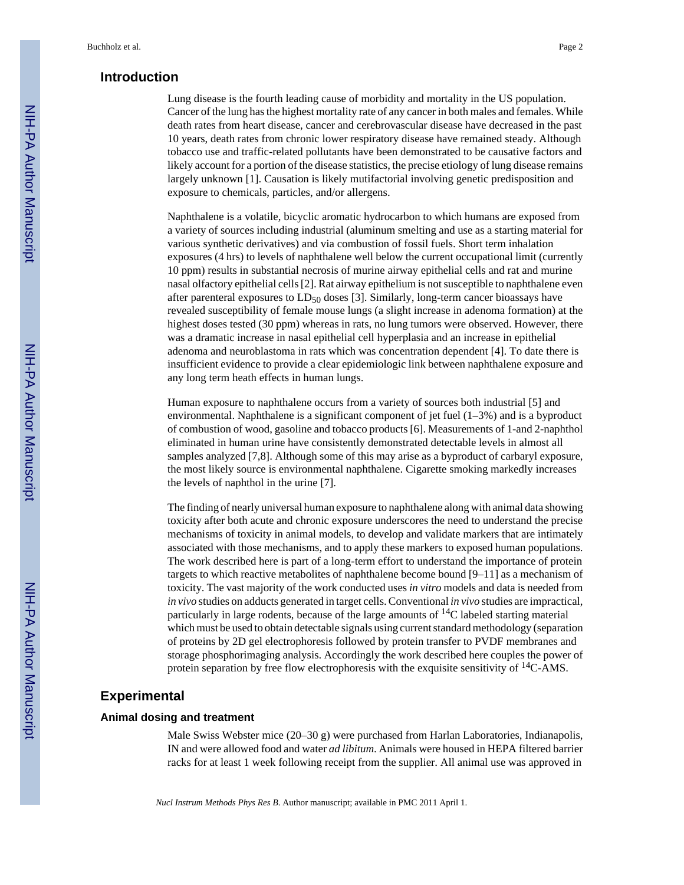### **Introduction**

Lung disease is the fourth leading cause of morbidity and mortality in the US population. Cancer of the lung has the highest mortality rate of any cancer in both males and females. While death rates from heart disease, cancer and cerebrovascular disease have decreased in the past 10 years, death rates from chronic lower respiratory disease have remained steady. Although tobacco use and traffic-related pollutants have been demonstrated to be causative factors and likely account for a portion of the disease statistics, the precise etiology of lung disease remains largely unknown [1]. Causation is likely mutifactorial involving genetic predisposition and exposure to chemicals, particles, and/or allergens.

Naphthalene is a volatile, bicyclic aromatic hydrocarbon to which humans are exposed from a variety of sources including industrial (aluminum smelting and use as a starting material for various synthetic derivatives) and via combustion of fossil fuels. Short term inhalation exposures (4 hrs) to levels of naphthalene well below the current occupational limit (currently 10 ppm) results in substantial necrosis of murine airway epithelial cells and rat and murine nasal olfactory epithelial cells [2]. Rat airway epithelium is not susceptible to naphthalene even after parenteral exposures to  $LD_{50}$  doses [3]. Similarly, long-term cancer bioassays have revealed susceptibility of female mouse lungs (a slight increase in adenoma formation) at the highest doses tested (30 ppm) whereas in rats, no lung tumors were observed. However, there was a dramatic increase in nasal epithelial cell hyperplasia and an increase in epithelial adenoma and neuroblastoma in rats which was concentration dependent [4]. To date there is insufficient evidence to provide a clear epidemiologic link between naphthalene exposure and any long term heath effects in human lungs.

Human exposure to naphthalene occurs from a variety of sources both industrial [5] and environmental. Naphthalene is a significant component of jet fuel  $(1-3\%)$  and is a byproduct of combustion of wood, gasoline and tobacco products [6]. Measurements of 1-and 2-naphthol eliminated in human urine have consistently demonstrated detectable levels in almost all samples analyzed [7,8]. Although some of this may arise as a byproduct of carbaryl exposure, the most likely source is environmental naphthalene. Cigarette smoking markedly increases the levels of naphthol in the urine [7].

The finding of nearly universal human exposure to naphthalene along with animal data showing toxicity after both acute and chronic exposure underscores the need to understand the precise mechanisms of toxicity in animal models, to develop and validate markers that are intimately associated with those mechanisms, and to apply these markers to exposed human populations. The work described here is part of a long-term effort to understand the importance of protein targets to which reactive metabolites of naphthalene become bound [9–11] as a mechanism of toxicity. The vast majority of the work conducted uses *in vitro* models and data is needed from *in vivo* studies on adducts generated in target cells. Conventional *in vivo* studies are impractical, particularly in large rodents, because of the large amounts of  $^{14}C$  labeled starting material which must be used to obtain detectable signals using current standard methodology (separation of proteins by 2D gel electrophoresis followed by protein transfer to PVDF membranes and storage phosphorimaging analysis. Accordingly the work described here couples the power of protein separation by free flow electrophoresis with the exquisite sensitivity of  $^{14}$ C-AMS.

#### **Experimental**

## **Animal dosing and treatment**

Male Swiss Webster mice (20–30 g) were purchased from Harlan Laboratories, Indianapolis, IN and were allowed food and water *ad libitum*. Animals were housed in HEPA filtered barrier racks for at least 1 week following receipt from the supplier. All animal use was approved in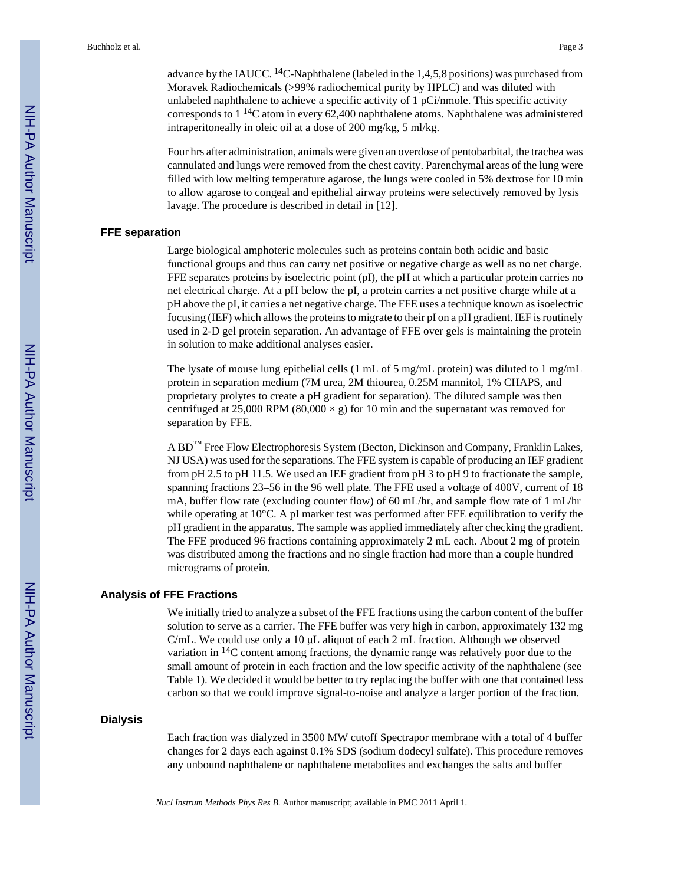advance by the IAUCC. <sup>14</sup>C-Naphthalene (labeled in the 1,4,5,8 positions) was purchased from Moravek Radiochemicals (>99% radiochemical purity by HPLC) and was diluted with unlabeled naphthalene to achieve a specific activity of 1 pCi/nmole. This specific activity corresponds to  $1^{14}$ C atom in every 62,400 naphthalene atoms. Naphthalene was administered intraperitoneally in oleic oil at a dose of 200 mg/kg, 5 ml/kg.

Four hrs after administration, animals were given an overdose of pentobarbital, the trachea was cannulated and lungs were removed from the chest cavity. Parenchymal areas of the lung were filled with low melting temperature agarose, the lungs were cooled in 5% dextrose for 10 min to allow agarose to congeal and epithelial airway proteins were selectively removed by lysis lavage. The procedure is described in detail in [12].

#### **FFE separation**

Large biological amphoteric molecules such as proteins contain both acidic and basic functional groups and thus can carry net positive or negative charge as well as no net charge. FFE separates proteins by isoelectric point (pI), the pH at which a particular protein carries no net electrical charge. At a pH below the pI, a protein carries a net positive charge while at a pH above the pI, it carries a net negative charge. The FFE uses a technique known as isoelectric focusing (IEF) which allows the proteins to migrate to their pI on a pH gradient. IEF is routinely used in 2-D gel protein separation. An advantage of FFE over gels is maintaining the protein in solution to make additional analyses easier.

The lysate of mouse lung epithelial cells (1 mL of 5 mg/mL protein) was diluted to 1 mg/mL protein in separation medium (7M urea, 2M thiourea, 0.25M mannitol, 1% CHAPS, and proprietary prolytes to create a pH gradient for separation). The diluted sample was then centrifuged at 25,000 RPM (80,000  $\times$  g) for 10 min and the supernatant was removed for separation by FFE.

A BD<sup>™</sup> Free Flow Electrophoresis System (Becton, Dickinson and Company, Franklin Lakes, NJ USA) was used for the separations. The FFE system is capable of producing an IEF gradient from pH 2.5 to pH 11.5. We used an IEF gradient from pH 3 to pH 9 to fractionate the sample, spanning fractions 23–56 in the 96 well plate. The FFE used a voltage of 400V, current of 18 mA, buffer flow rate (excluding counter flow) of 60 mL/hr, and sample flow rate of 1 mL/hr while operating at 10°C. A pI marker test was performed after FFE equilibration to verify the pH gradient in the apparatus. The sample was applied immediately after checking the gradient. The FFE produced 96 fractions containing approximately 2 mL each. About 2 mg of protein was distributed among the fractions and no single fraction had more than a couple hundred micrograms of protein.

#### **Analysis of FFE Fractions**

We initially tried to analyze a subset of the FFE fractions using the carbon content of the buffer solution to serve as a carrier. The FFE buffer was very high in carbon, approximately 132 mg C/mL. We could use only a 10 μL aliquot of each 2 mL fraction. Although we observed variation in  $^{14}$ C content among fractions, the dynamic range was relatively poor due to the small amount of protein in each fraction and the low specific activity of the naphthalene (see Table 1). We decided it would be better to try replacing the buffer with one that contained less carbon so that we could improve signal-to-noise and analyze a larger portion of the fraction.

#### **Dialysis**

Each fraction was dialyzed in 3500 MW cutoff Spectrapor membrane with a total of 4 buffer changes for 2 days each against 0.1% SDS (sodium dodecyl sulfate). This procedure removes any unbound naphthalene or naphthalene metabolites and exchanges the salts and buffer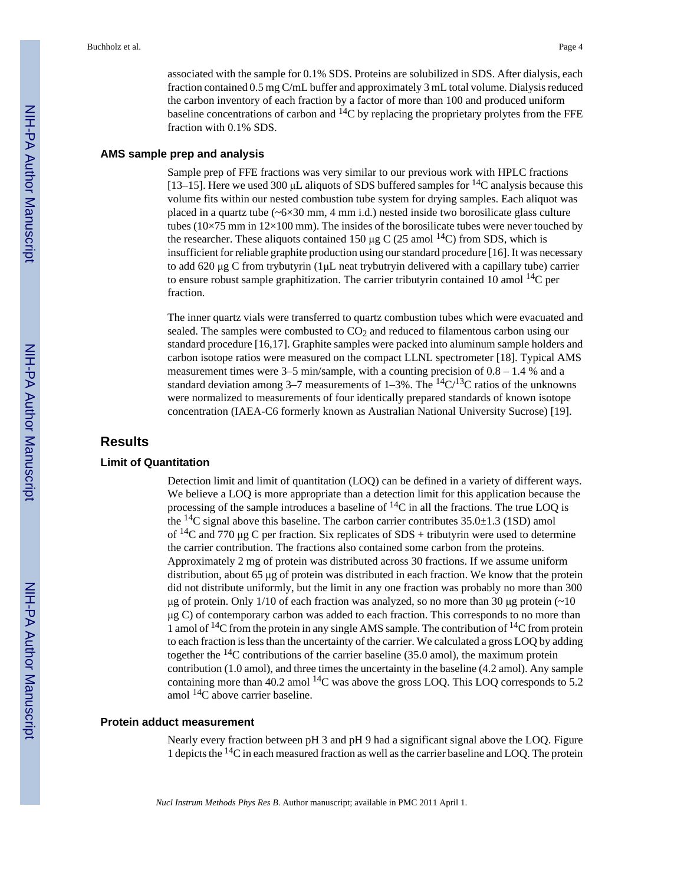associated with the sample for 0.1% SDS. Proteins are solubilized in SDS. After dialysis, each fraction contained 0.5 mg C/mL buffer and approximately 3 mL total volume. Dialysis reduced the carbon inventory of each fraction by a factor of more than 100 and produced uniform baseline concentrations of carbon and  $^{14}$ C by replacing the proprietary prolytes from the FFE fraction with 0.1% SDS.

#### **AMS sample prep and analysis**

Sample prep of FFE fractions was very similar to our previous work with HPLC fractions [13–15]. Here we used 300  $\mu$ L aliquots of SDS buffered samples for <sup>14</sup>C analysis because this volume fits within our nested combustion tube system for drying samples. Each aliquot was placed in a quartz tube  $({\sim}6{\times}30$  mm, 4 mm i.d.) nested inside two borosilicate glass culture tubes (10×75 mm in 12×100 mm). The insides of the borosilicate tubes were never touched by the researcher. These aliquots contained 150 μg C (25 amol  $^{14}$ C) from SDS, which is insufficient for reliable graphite production using our standard procedure [16]. It was necessary to add 620 μg C from trybutyrin (1μL neat trybutryin delivered with a capillary tube) carrier to ensure robust sample graphitization. The carrier tributyrin contained 10 amol  $^{14}C$  per fraction.

The inner quartz vials were transferred to quartz combustion tubes which were evacuated and sealed. The samples were combusted to  $CO<sub>2</sub>$  and reduced to filamentous carbon using our standard procedure [16,17]. Graphite samples were packed into aluminum sample holders and carbon isotope ratios were measured on the compact LLNL spectrometer [18]. Typical AMS measurement times were  $3-5$  min/sample, with a counting precision of  $0.8 - 1.4$  % and a standard deviation among 3–7 measurements of 1–3%. The <sup>14</sup>C/<sup>13</sup>C ratios of the unknowns were normalized to measurements of four identically prepared standards of known isotope concentration (IAEA-C6 formerly known as Australian National University Sucrose) [19].

#### **Results**

#### **Limit of Quantitation**

Detection limit and limit of quantitation (LOQ) can be defined in a variety of different ways. We believe a LOQ is more appropriate than a detection limit for this application because the processing of the sample introduces a baseline of  ${}^{14}C$  in all the fractions. The true LOQ is the  ${}^{14}C$  signal above this baseline. The carbon carrier contributes  $35.0\pm1.3$  (1SD) amol of <sup>14</sup>C and 770 μg C per fraction. Six replicates of SDS + tributyrin were used to determine the carrier contribution. The fractions also contained some carbon from the proteins. Approximately 2 mg of protein was distributed across 30 fractions. If we assume uniform distribution, about 65 μg of protein was distributed in each fraction. We know that the protein did not distribute uniformly, but the limit in any one fraction was probably no more than 300 μg of protein. Only 1/10 of each fraction was analyzed, so no more than 30 μg protein ( $\sim$ 10 μg C) of contemporary carbon was added to each fraction. This corresponds to no more than 1 amol of  $14C$  from the protein in any single AMS sample. The contribution of  $14C$  from protein to each fraction is less than the uncertainty of the carrier. We calculated a gross LOQ by adding together the  $^{14}$ C contributions of the carrier baseline (35.0 amol), the maximum protein contribution (1.0 amol), and three times the uncertainty in the baseline (4.2 amol). Any sample containing more than 40.2 amol  $^{14}$ C was above the gross LOQ. This LOQ corresponds to 5.2 amol 14C above carrier baseline.

#### **Protein adduct measurement**

Nearly every fraction between pH 3 and pH 9 had a significant signal above the LOQ. Figure 1 depicts the 14C in each measured fraction as well as the carrier baseline and LOQ. The protein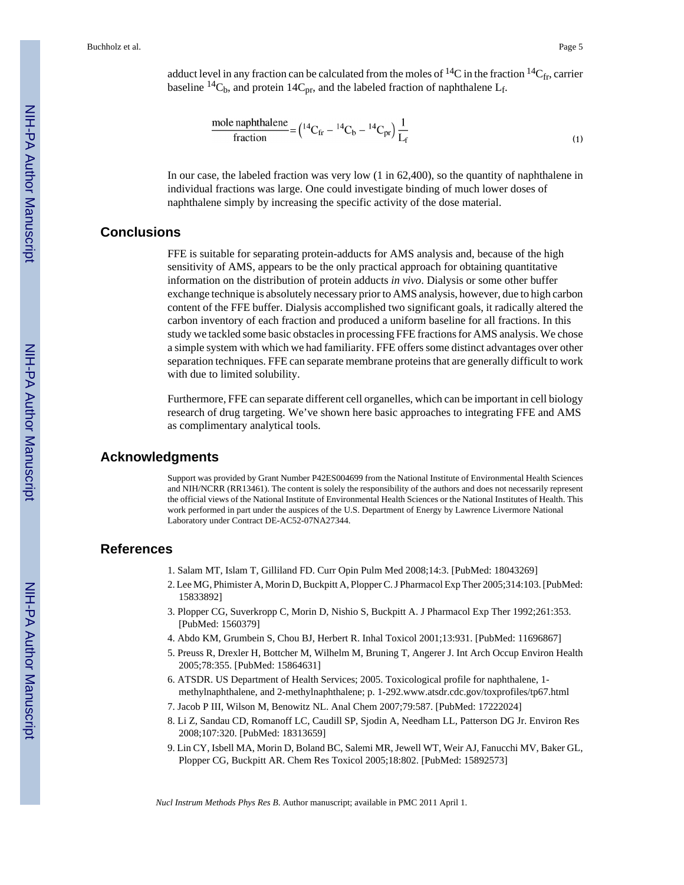Buchholz et al. Page 5

adduct level in any fraction can be calculated from the moles of <sup>14</sup>C in the fraction <sup>14</sup>C<sub>fr</sub>, carrier baseline <sup>14</sup>C<sub>b</sub>, and protein 14C<sub>pr</sub>, and the labeled fraction of naphthalene L<sub>f</sub>.

$$
\frac{\text{mole naphthalene}}{\text{fraction}} = \left(\frac{^{14}\text{C}_{\text{fr}} - ^{14}\text{C}_{\text{b}} - ^{14}\text{C}_{\text{pr}}\right) \frac{1}{L_{\text{f}}}
$$
\n<sup>(1)</sup>

In our case, the labeled fraction was very low (1 in 62,400), so the quantity of naphthalene in individual fractions was large. One could investigate binding of much lower doses of naphthalene simply by increasing the specific activity of the dose material.

# **Conclusions**

FFE is suitable for separating protein-adducts for AMS analysis and, because of the high sensitivity of AMS, appears to be the only practical approach for obtaining quantitative information on the distribution of protein adducts *in vivo*. Dialysis or some other buffer exchange technique is absolutely necessary prior to AMS analysis, however, due to high carbon content of the FFE buffer. Dialysis accomplished two significant goals, it radically altered the carbon inventory of each fraction and produced a uniform baseline for all fractions. In this study we tackled some basic obstacles in processing FFE fractions for AMS analysis. We chose a simple system with which we had familiarity. FFE offers some distinct advantages over other separation techniques. FFE can separate membrane proteins that are generally difficult to work with due to limited solubility.

Furthermore, FFE can separate different cell organelles, which can be important in cell biology research of drug targeting. We've shown here basic approaches to integrating FFE and AMS as complimentary analytical tools.

### **Acknowledgments**

Support was provided by Grant Number P42ES004699 from the National Institute of Environmental Health Sciences and NIH/NCRR (RR13461). The content is solely the responsibility of the authors and does not necessarily represent the official views of the National Institute of Environmental Health Sciences or the National Institutes of Health. This work performed in part under the auspices of the U.S. Department of Energy by Lawrence Livermore National Laboratory under Contract DE-AC52-07NA27344.

# **References**

- 1. Salam MT, Islam T, Gilliland FD. Curr Opin Pulm Med 2008;14:3. [PubMed: 18043269]
- 2. Lee MG, Phimister A, Morin D, Buckpitt A, Plopper C. J Pharmacol Exp Ther 2005;314:103. [PubMed: 15833892]
- 3. Plopper CG, Suverkropp C, Morin D, Nishio S, Buckpitt A. J Pharmacol Exp Ther 1992;261:353. [PubMed: 1560379]
- 4. Abdo KM, Grumbein S, Chou BJ, Herbert R. Inhal Toxicol 2001;13:931. [PubMed: 11696867]
- 5. Preuss R, Drexler H, Bottcher M, Wilhelm M, Bruning T, Angerer J. Int Arch Occup Environ Health 2005;78:355. [PubMed: 15864631]
- 6. ATSDR. US Department of Health Services; 2005. Toxicological profile for naphthalene, 1 methylnaphthalene, and 2-methylnaphthalene; p. 1-292.www.atsdr.cdc.gov/toxprofiles/tp67.html
- 7. Jacob P III, Wilson M, Benowitz NL. Anal Chem 2007;79:587. [PubMed: 17222024]
- 8. Li Z, Sandau CD, Romanoff LC, Caudill SP, Sjodin A, Needham LL, Patterson DG Jr. Environ Res 2008;107:320. [PubMed: 18313659]
- 9. Lin CY, Isbell MA, Morin D, Boland BC, Salemi MR, Jewell WT, Weir AJ, Fanucchi MV, Baker GL, Plopper CG, Buckpitt AR. Chem Res Toxicol 2005;18:802. [PubMed: 15892573]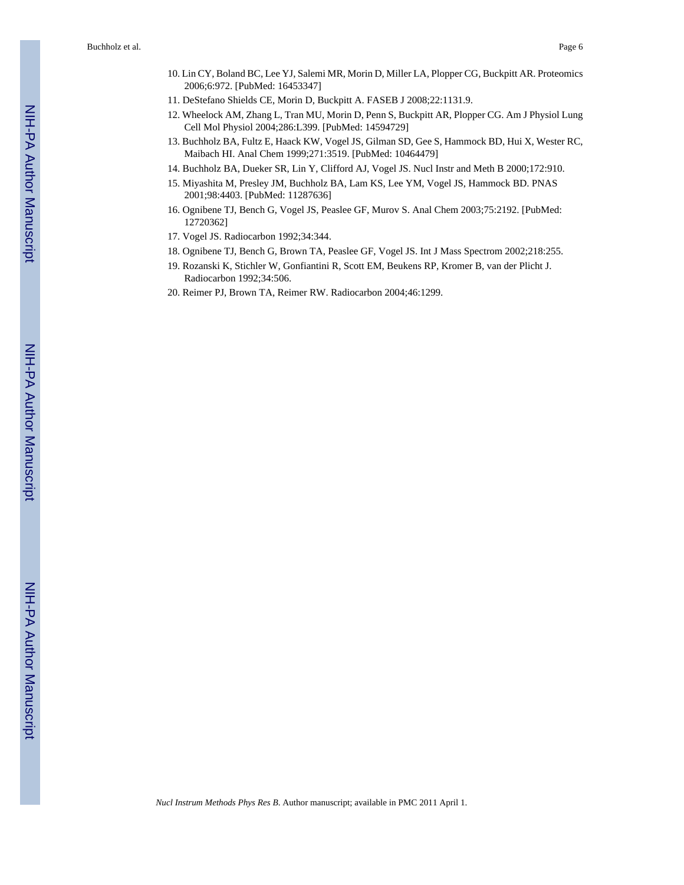- 10. Lin CY, Boland BC, Lee YJ, Salemi MR, Morin D, Miller LA, Plopper CG, Buckpitt AR. Proteomics 2006;6:972. [PubMed: 16453347]
- 11. DeStefano Shields CE, Morin D, Buckpitt A. FASEB J 2008;22:1131.9.
- 12. Wheelock AM, Zhang L, Tran MU, Morin D, Penn S, Buckpitt AR, Plopper CG. Am J Physiol Lung Cell Mol Physiol 2004;286:L399. [PubMed: 14594729]
- 13. Buchholz BA, Fultz E, Haack KW, Vogel JS, Gilman SD, Gee S, Hammock BD, Hui X, Wester RC, Maibach HI. Anal Chem 1999;271:3519. [PubMed: 10464479]
- 14. Buchholz BA, Dueker SR, Lin Y, Clifford AJ, Vogel JS. Nucl Instr and Meth B 2000;172:910.
- 15. Miyashita M, Presley JM, Buchholz BA, Lam KS, Lee YM, Vogel JS, Hammock BD. PNAS 2001;98:4403. [PubMed: 11287636]
- 16. Ognibene TJ, Bench G, Vogel JS, Peaslee GF, Murov S. Anal Chem 2003;75:2192. [PubMed: 12720362]
- 17. Vogel JS. Radiocarbon 1992;34:344.
- 18. Ognibene TJ, Bench G, Brown TA, Peaslee GF, Vogel JS. Int J Mass Spectrom 2002;218:255.
- 19. Rozanski K, Stichler W, Gonfiantini R, Scott EM, Beukens RP, Kromer B, van der Plicht J. Radiocarbon 1992;34:506.
- 20. Reimer PJ, Brown TA, Reimer RW. Radiocarbon 2004;46:1299.

NIH-PA Author Manuscript

NIH-PA Author Manuscript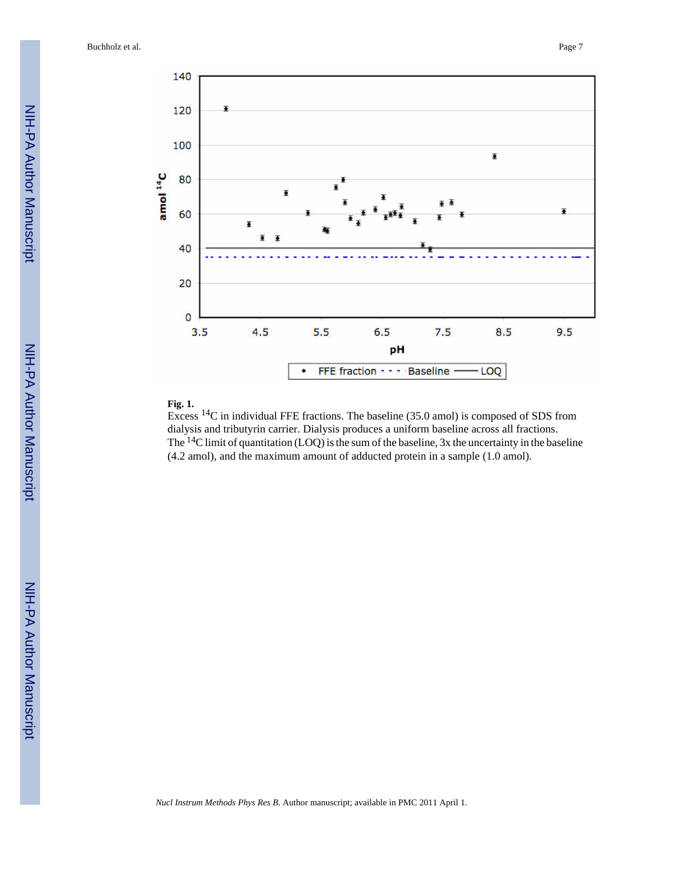Buchholz et al. Page 7



#### **Fig. 1.**

Excess 14C in individual FFE fractions. The baseline (35.0 amol) is composed of SDS from dialysis and tributyrin carrier. Dialysis produces a uniform baseline across all fractions. The  $14$ C limit of quantitation (LOQ) is the sum of the baseline, 3x the uncertainty in the baseline (4.2 amol), and the maximum amount of adducted protein in a sample (1.0 amol).